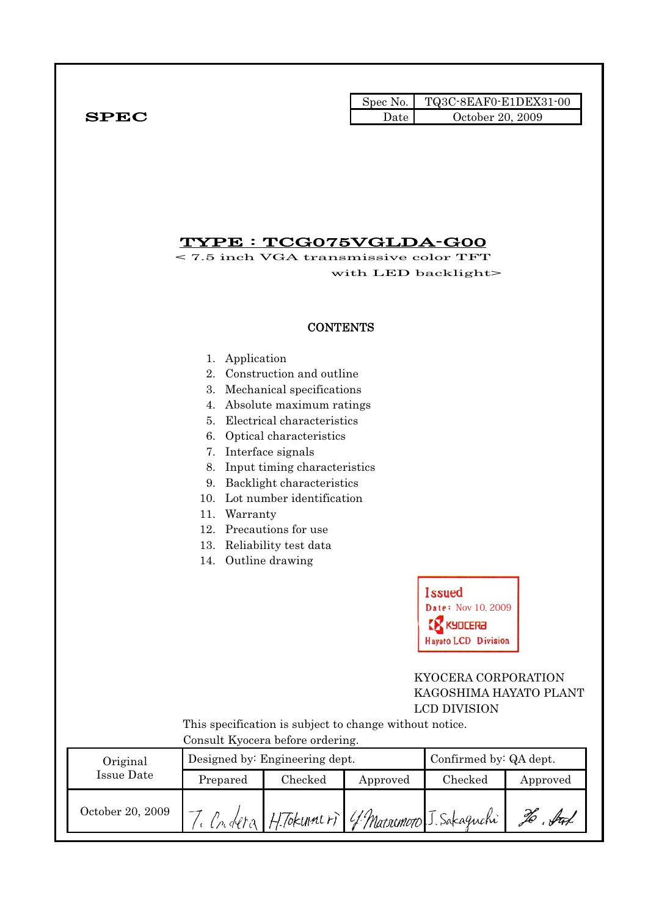|              |      | Spec No. TQ3C-8EAF0-E1DEX31-00 |
|--------------|------|--------------------------------|
| ${\bf SPEC}$ | Date | October 20, 2009               |

### TYPE : TCG075VGLDA-G00

< 7.5 inch VGA transmissive color TFT with LED backlight>

#### **CONTENTS**

- 1. Application
- 2. Construction and outline
- 3. Mechanical specifications
- 4. Absolute maximum ratings
- 5. Electrical characteristics
- 6. Optical characteristics
- 7. Interface signals
- 8. Input timing characteristics
- 9. Backlight characteristics
- 10. Lot number identification
- 11. Warranty
- 12. Precautions for use
- 13. Reliability test data
- 14. Outline drawing



#### KYOCERA CORPORATION KAGOSHIMA HAYATO PLANT LCD DIVISION

 This specification is subject to change without notice. Consult Kyocera before ordering.

| Original         |          | Designed by: Engineering dept.               | Confirmed by: QA dept. |         |          |
|------------------|----------|----------------------------------------------|------------------------|---------|----------|
| Issue Date       | Prepared | $\rm Checked$                                | Approved               | Checked | Approved |
| October 20, 2009 |          | Cridera H. Tokumeri 4 Macromoro J. Sakaguchi |                        |         | ful      |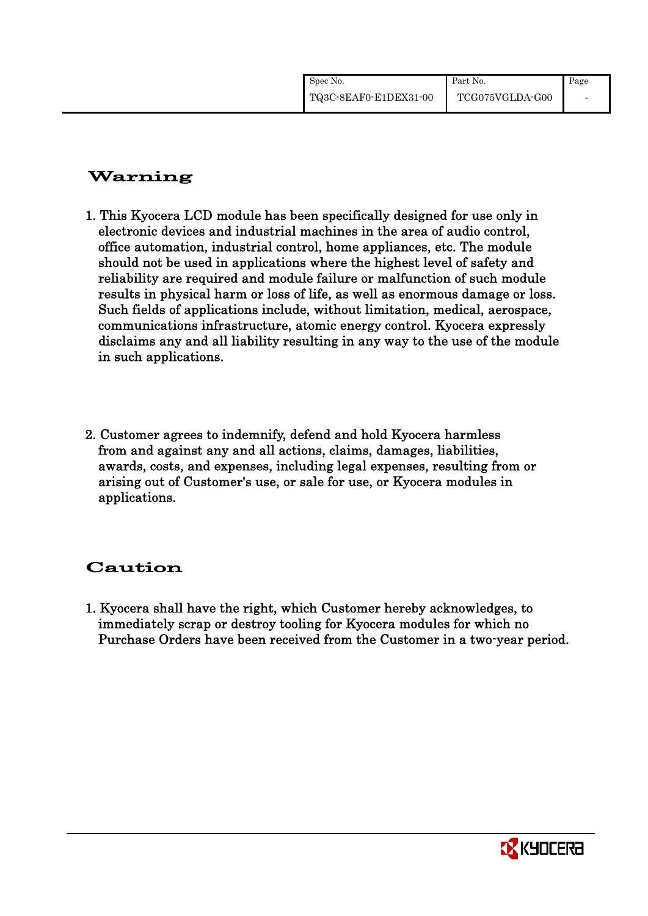| Spec No.              | Part No.        | Page |
|-----------------------|-----------------|------|
| TQ3C-8EAF0-E1DEX31-00 | TCG075VGLDA-G00 |      |

# Warning

- 1. This Kyocera LCD module has been specifically designed for use only in electronic devices and industrial machines in the area of audio control, office automation, industrial control, home appliances, etc. The module should not be used in applications where the highest level of safety and reliability are required and module failure or malfunction of such module results in physical harm or loss of life, as well as enormous damage or loss. Such fields of applications include, without limitation, medical, aerospace, communications infrastructure, atomic energy control. Kyocera expressly disclaims any and all liability resulting in any way to the use of the module in such applications.
- 2. Customer agrees to indemnify, defend and hold Kyocera harmless from and against any and all actions, claims, damages, liabilities, awards, costs, and expenses, including legal expenses, resulting from or arising out of Customer's use, or sale for use, or Kyocera modules in applications.

# Caution

1. Kyocera shall have the right, which Customer hereby acknowledges, to immediately scrap or destroy tooling for Kyocera modules for which no Purchase Orders have been received from the Customer in a two-year period.

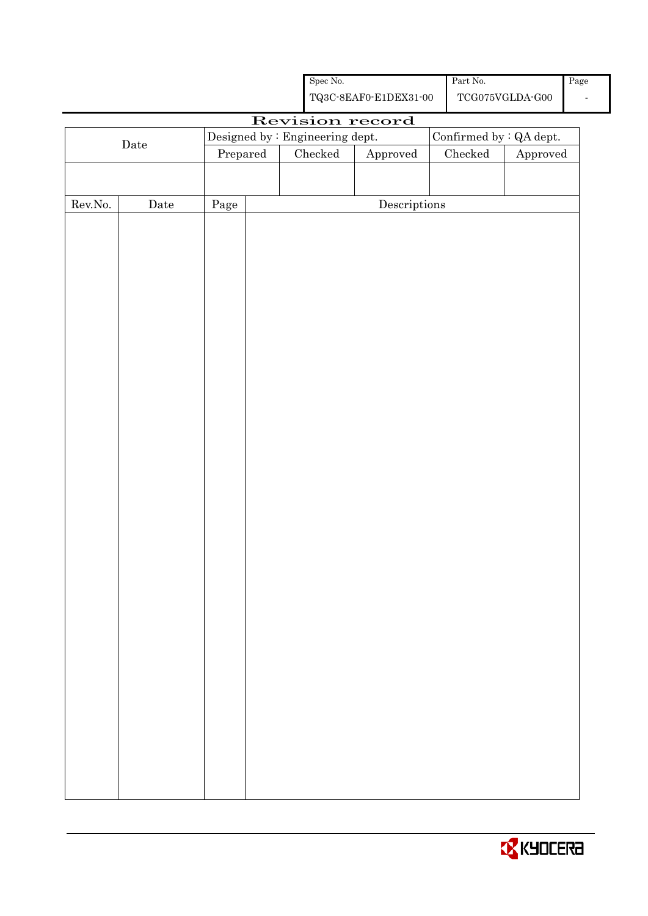|                  |      |          | ${\rm Spec}$ No.                |                                                    | Part No.                |                                         | Page |
|------------------|------|----------|---------------------------------|----------------------------------------------------|-------------------------|-----------------------------------------|------|
|                  |      |          |                                 | ${\bf TQ3C\text{-}SEAF0\text{-}E1DEX31\text{-}00}$ |                         | $\operatorname{TCG075VGLDA\text{-}G00}$ |      |
|                  |      |          |                                 | Revision record                                    |                         |                                         |      |
|                  | Date |          | Designed by : Engineering dept. |                                                    | Confirmed by : QA dept. |                                         |      |
|                  |      | Prepared | $\rm Checked$                   | Approved                                           | Checked                 | Approved                                |      |
|                  |      |          |                                 |                                                    |                         |                                         |      |
| ${\rm Rev. No.}$ | Date | Page     |                                 | $\label{eq:2} \textbf{Descriptions}$               |                         |                                         |      |
|                  |      |          |                                 |                                                    |                         |                                         |      |
|                  |      |          |                                 |                                                    |                         |                                         |      |
|                  |      |          |                                 |                                                    |                         |                                         |      |
|                  |      |          |                                 |                                                    |                         |                                         |      |
|                  |      |          |                                 |                                                    |                         |                                         |      |
|                  |      |          |                                 |                                                    |                         |                                         |      |
|                  |      |          |                                 |                                                    |                         |                                         |      |
|                  |      |          |                                 |                                                    |                         |                                         |      |
|                  |      |          |                                 |                                                    |                         |                                         |      |
|                  |      |          |                                 |                                                    |                         |                                         |      |
|                  |      |          |                                 |                                                    |                         |                                         |      |
|                  |      |          |                                 |                                                    |                         |                                         |      |
|                  |      |          |                                 |                                                    |                         |                                         |      |
|                  |      |          |                                 |                                                    |                         |                                         |      |
|                  |      |          |                                 |                                                    |                         |                                         |      |
|                  |      |          |                                 |                                                    |                         |                                         |      |
|                  |      |          |                                 |                                                    |                         |                                         |      |
|                  |      |          |                                 |                                                    |                         |                                         |      |
|                  |      |          |                                 |                                                    |                         |                                         |      |
|                  |      |          |                                 |                                                    |                         |                                         |      |
|                  |      |          |                                 |                                                    |                         |                                         |      |
|                  |      |          |                                 |                                                    |                         |                                         |      |
|                  |      |          |                                 |                                                    |                         |                                         |      |
|                  |      |          |                                 |                                                    |                         |                                         |      |
|                  |      |          |                                 |                                                    |                         |                                         |      |
|                  |      |          |                                 |                                                    |                         |                                         |      |
|                  |      |          |                                 |                                                    |                         |                                         |      |
|                  |      |          |                                 |                                                    |                         |                                         |      |
|                  |      |          |                                 |                                                    |                         |                                         |      |

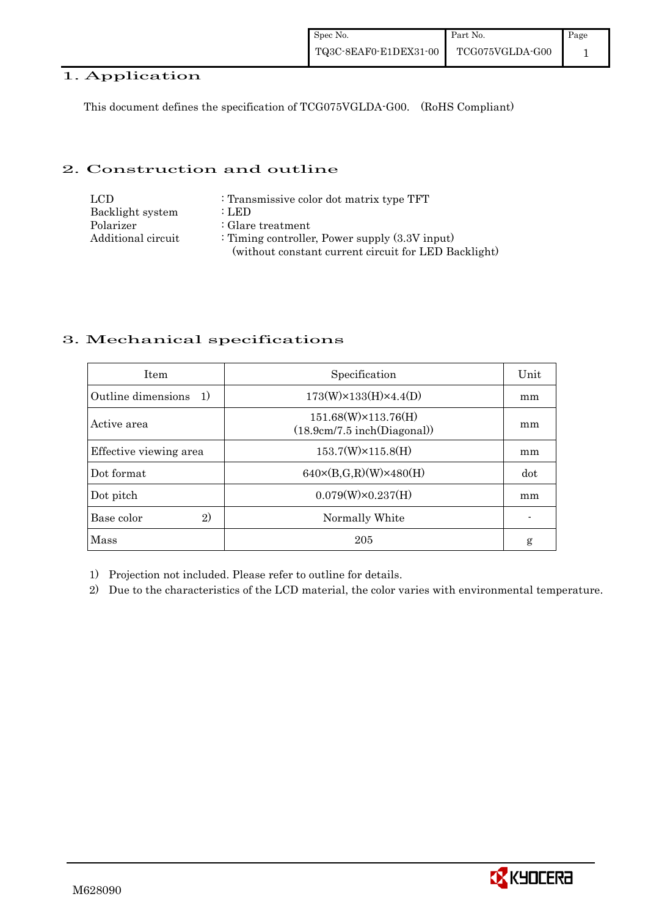#### 1. Application

This document defines the specification of TCG075VGLDA-G00. (RoHS Compliant)

#### 2. Construction and outline

| LCD.               | : Transmissive color dot matrix type TFT             |
|--------------------|------------------------------------------------------|
| Backlight system   | : LED                                                |
| Polarizer          | $\therefore$ Glare treatment                         |
| Additional circuit | : Timing controller, Power supply $(3.3V)$ input)    |
|                    | (without constant current circuit for LED Backlight) |

#### 3. Mechanical specifications

| <b>Item</b>               | Specification                                              | Unit |
|---------------------------|------------------------------------------------------------|------|
| Outline dimensions<br>-1) | $173(W) \times 133(H) \times 4.4(D)$                       | mm   |
| Active area               | $151.68(W)\times 113.76(H)$<br>(18.9cm/7.5 inch(Diagonal)) | mm   |
| Effective viewing area    | $153.7(W)\times 115.8(H)$                                  | mm   |
| Dot format                | $640 \times (B,G,R)(W) \times 480(H)$                      | dot  |
| Dot pitch                 | $0.079(W) \times 0.237(H)$                                 | mm   |
| 2)<br>Base color          | Normally White                                             |      |
| Mass                      | 205                                                        | g    |

1) Projection not included. Please refer to outline for details.

2) Due to the characteristics of the LCD material, the color varies with environmental temperature.

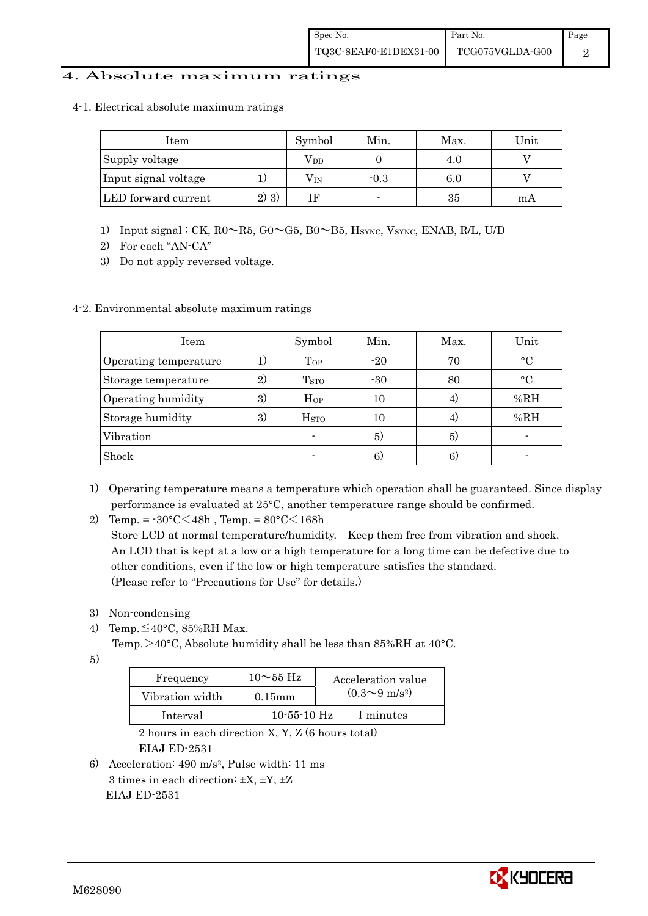#### 4. Absolute maximum ratings

4-1. Electrical absolute maximum ratings

| Item                 |         | Symbol       | Min.   | Max. | Unit |
|----------------------|---------|--------------|--------|------|------|
| Supply voltage       |         | $\rm V_{DD}$ |        | 4.0  |      |
| Input signal voltage |         | $\rm V_{IN}$ | $-0.3$ | 6.0  |      |
| LED forward current  | $2)$ 3) |              |        | 35   | m A  |

- 1) Input signal : CK, R0~R5, G0~G5, B0~B5, HSYNC, VSYNC, ENAB, R/L, U/D
- 2) For each "AN-CA"
- 3) Do not apply reversed voltage.

#### 4-2. Environmental absolute maximum ratings

| Item                  |    | Symbol             | Min.  | Max. | Unit        |
|-----------------------|----|--------------------|-------|------|-------------|
| Operating temperature | 1) | Top                | $-20$ | 70   | $\circ$ C   |
| Storage temperature   | 2) | T <sub>STO</sub>   | $-30$ | 80   | $^{\circ}C$ |
| Operating humidity    | 3) | $H_{OP}$           | 10    |      | %RH         |
| Storage humidity      | 3) | $_{\mathrm{HSTO}}$ | 10    | 4.   | %RH         |
| Vibration             |    |                    | 5)    | 5)   |             |
| Shock                 |    |                    | 6)    | 6)   |             |

- 1) Operating temperature means a temperature which operation shall be guaranteed. Since display performance is evaluated at 25°C, another temperature range should be confirmed.
- 2) Temp. =  $-30^{\circ}$ C $<$ 48h, Temp. =  $80^{\circ}$ C $<$ 168h

 Store LCD at normal temperature/humidity. Keep them free from vibration and shock. An LCD that is kept at a low or a high temperature for a long time can be defective due to other conditions, even if the low or high temperature satisfies the standard. (Please refer to "Precautions for Use" for details.)

- 3) Non-condensing
- 4) Temp. $\leq 40^{\circ}$ C, 85%RH Max.

Temp.  $>40^{\circ}$ C, Absolute humidity shall be less than 85%RH at 40 $^{\circ}$ C.

5)

| Frequency       | $10\sim 55$ Hz    | Acceleration value           |
|-----------------|-------------------|------------------------------|
| Vibration width | $0.15$ mm         | $(0.3 \sim 9 \text{ m/s}^2)$ |
| Interval        | $10 - 55 - 10$ Hz | 1 minutes                    |

 2 hours in each direction X, Y, Z (6 hours total) EIAJ ED-2531

6) Acceleration: 490 m/s2, Pulse width: 11 ms 3 times in each direction:  $\pm X$ ,  $\pm Y$ ,  $\pm Z$ EIAJ ED-2531

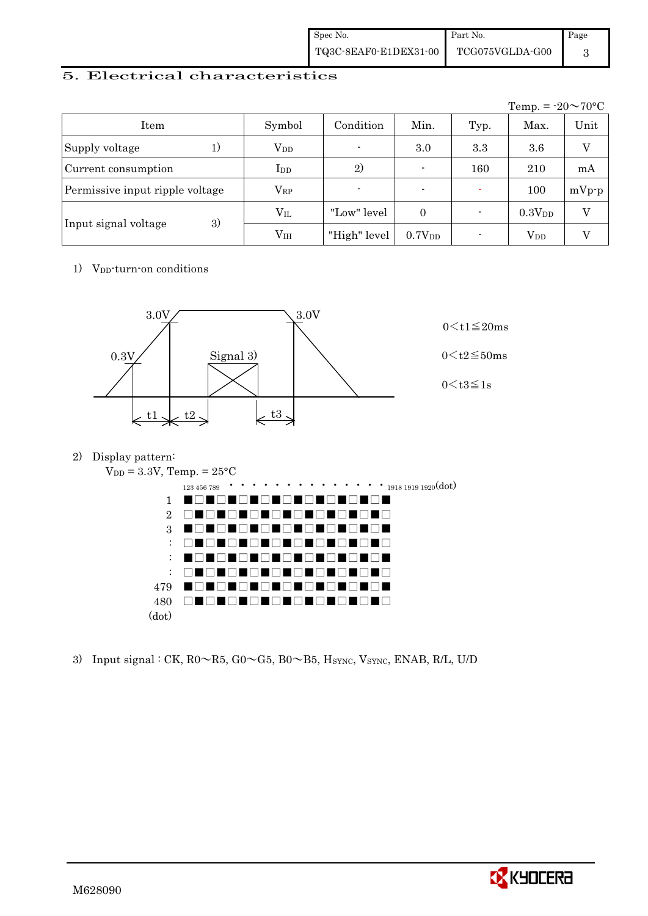| Spec No.              | Part No.                     | Page |
|-----------------------|------------------------------|------|
| TQ3C-8EAF0-E1DEX31-00 | $\rm TCG075VGLDA\text{-}G00$ |      |

#### 5. Electrical characteristics

|                                 |                 |                          |                          |      | Temp. = $-20 \sim 70$ °C |         |
|---------------------------------|-----------------|--------------------------|--------------------------|------|--------------------------|---------|
| Item                            | Symbol          | Condition                | Min.                     | Typ. | Max.                     | Unit    |
| Supply voltage<br>1)            | $V_{DD}$        | $\overline{\phantom{a}}$ | 3.0                      | 3.3  | 3.6                      | V       |
| Current consumption             | $_{\rm{LDD}}$   | 2)                       |                          | 160  | 210                      | mA      |
| Permissive input ripple voltage | $\rm V_{RP}$    | $\blacksquare$           | $\overline{\phantom{0}}$ |      | 100                      | $mVp-p$ |
|                                 | $\rm V_{II}$    | "Low" level              | $\theta$                 |      | 0.3V <sub>DD</sub>       | V       |
| 3)<br>Input signal voltage      | V <sub>IH</sub> | "High" level             | 0.7V <sub>DD</sub>       |      | $\rm V_{DD}$             |         |

1) V<sub>DD</sub>-turn-on conditions



2) Display pattern:



3) Input signal : CK,  $R0 \sim R5$ ,  $G0 \sim G5$ ,  $B0 \sim B5$ ,  $H_{\text{SYNC}}$ ,  $V_{\text{SYNC}}$ ,  $ENAB$ ,  $R/L$ ,  $U/D$ 

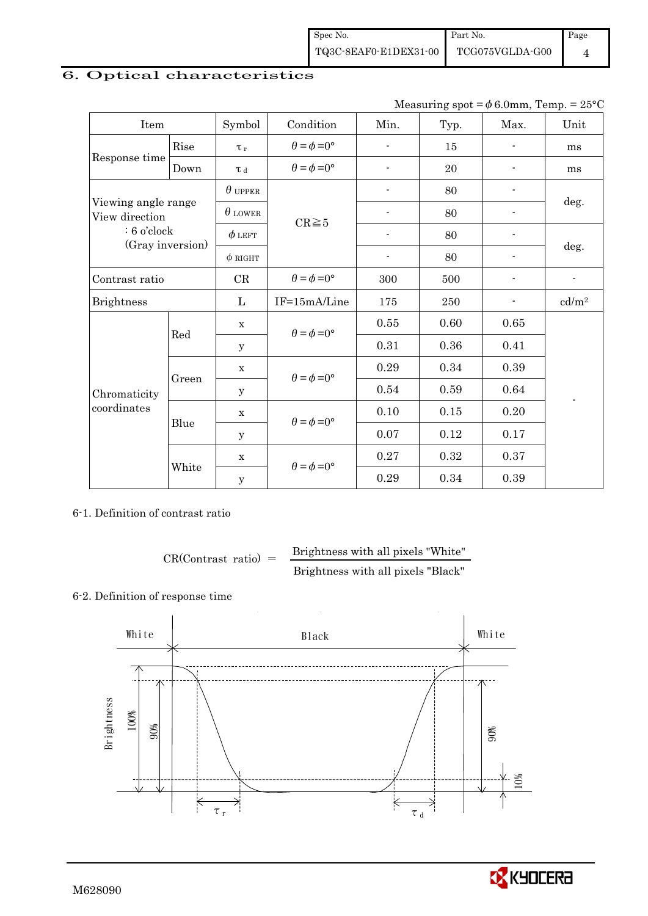| Spec No.              | Part No.        | Page |
|-----------------------|-----------------|------|
| TQ3C-8EAF0-E1DEX31-00 | TCG075VGLDA-G00 |      |

## 6. Optical characteristics

Measuring spot =  $\phi$  6.0mm, Temp. = 25°C

| Item                                  |       | Symbol         | Condition                   | Min.                     | Typ.    | Max.                     | Unit                     |
|---------------------------------------|-------|----------------|-----------------------------|--------------------------|---------|--------------------------|--------------------------|
|                                       | Rise  | $\tau_r$       | $\theta = \phi = 0^{\circ}$ | $\overline{\phantom{a}}$ | 15      |                          | ms                       |
| Response time                         | Down  | $\tau$ d       | $\theta = \phi = 0^{\circ}$ | $\overline{a}$           | 20      |                          | ms                       |
|                                       |       | $\theta$ upper |                             | ÷,                       | 80      |                          |                          |
| Viewing angle range<br>View direction |       | $\theta$ LOWER | $CR \ge 5$                  |                          | 80      |                          | deg.                     |
| $: 6$ o'clock<br>(Gray inversion)     |       | $\phi$ left    |                             | $\overline{\phantom{a}}$ | 80      |                          |                          |
|                                       |       | $\phi$ RIGHT   |                             | $\overline{\phantom{a}}$ | 80      | $\overline{\phantom{0}}$ | deg.                     |
| Contrast ratio                        |       | CR             | $\theta = \phi = 0^{\circ}$ | 300                      | 500     | $\overline{\phantom{0}}$ | $\overline{\phantom{a}}$ |
| <b>Brightness</b>                     |       | L              | IF=15mA/Line                | 175                      | $250\,$ |                          | cd/m <sup>2</sup>        |
|                                       |       | $\mathbf X$    | $\theta = \phi = 0^{\circ}$ | 0.55                     | 0.60    | $0.65\,$                 |                          |
|                                       | Red   | У              |                             | 0.31                     | 0.36    | 0.41                     |                          |
|                                       |       | $\mathbf x$    | $\theta = \phi = 0^{\circ}$ | 0.29                     | 0.34    | 0.39                     |                          |
| Chromaticity                          | Green | $\mathbf y$    |                             | 0.54                     | 0.59    | 0.64                     | $\overline{a}$           |
| coordinates                           | Blue  | $\mathbf X$    | $\theta = \phi = 0^{\circ}$ | 0.10                     | 0.15    | 0.20                     |                          |
|                                       |       | У              |                             | 0.07                     | 0.12    | 0.17                     |                          |
|                                       | White | $\mathbf X$    | $\theta = \phi = 0^{\circ}$ | 0.27                     | 0.32    | 0.37                     |                          |
|                                       |       | $\mathbf y$    |                             | 0.29                     | 0.34    | 0.39                     |                          |

6-1. Definition of contrast ratio

$$
CR(Contrast ratio) = \frac{Brightness with all pixels "White" }{Brightness with all pixels "Black"}
$$

#### 6-2. Definition of response time



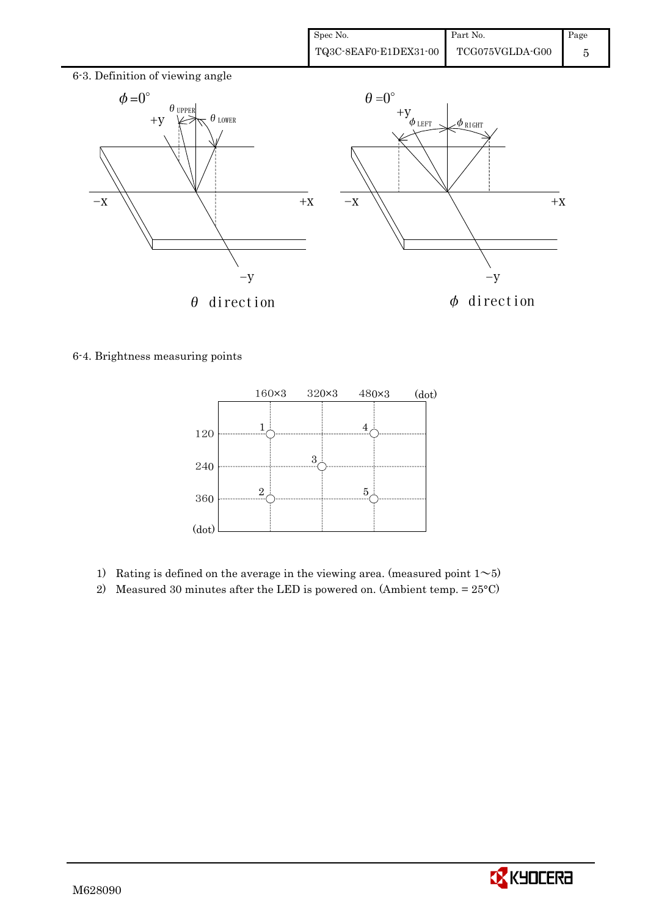

6-4. Brightness measuring points



- 1) Rating is defined on the average in the viewing area. (measured point  $1~$
- 2) Measured 30 minutes after the LED is powered on. (Ambient temp.  $= 25^{\circ}$ C)

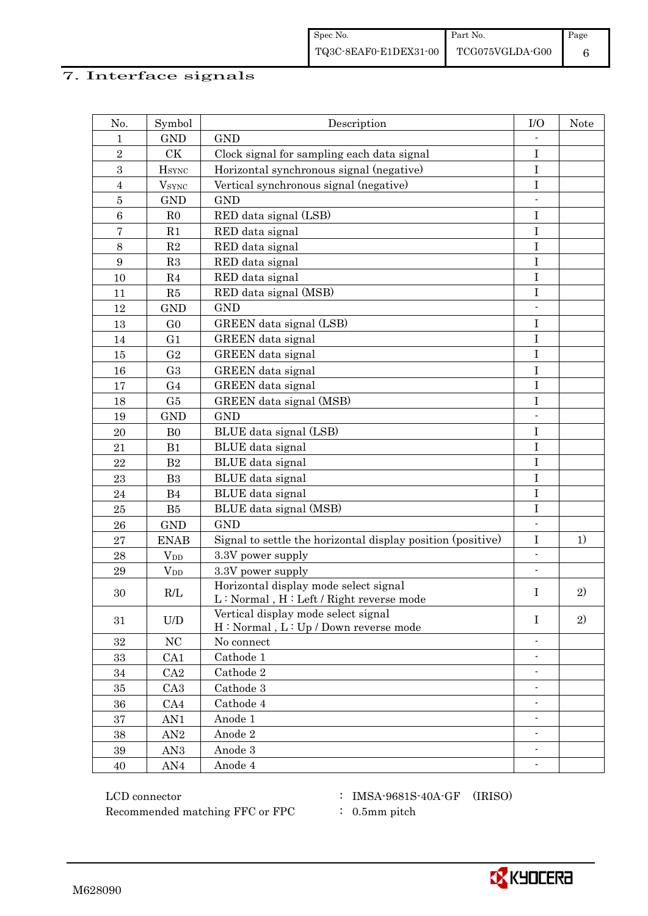# 7. Interface signals

| No.            | Symbol                   | Description                                                                                                                                    | I/O                      | <b>Note</b> |
|----------------|--------------------------|------------------------------------------------------------------------------------------------------------------------------------------------|--------------------------|-------------|
| 1              | <b>GND</b>               | <b>GND</b>                                                                                                                                     |                          |             |
| $\overline{2}$ | CK                       | Clock signal for sampling each data signal                                                                                                     | $\mathbf I$              |             |
| 3              | $H_{\rm SYNC}$           | Horizontal synchronous signal (negative)                                                                                                       | $\bf I$                  |             |
| $\overline{4}$ | <b>V</b> <sub>SYNC</sub> | Vertical synchronous signal (negative)                                                                                                         | $\mathbf I$              |             |
| $\bf 5$        | <b>GND</b>               | <b>GND</b>                                                                                                                                     |                          |             |
| $\,6$          | R <sub>0</sub>           | RED data signal (LSB)                                                                                                                          | $\mathbf I$              |             |
| $\overline{7}$ | R1                       | RED data signal                                                                                                                                | $\rm I$                  |             |
| $8\,$          | $\mathbf{R}2$            | RED data signal                                                                                                                                | $\mathbf I$              |             |
| 9              | R3                       | RED data signal                                                                                                                                | $\mathbf I$              |             |
| 10             | R <sub>4</sub>           | RED data signal                                                                                                                                | I                        |             |
| 11             | R5                       | RED data signal (MSB)                                                                                                                          | I                        |             |
| 12             | <b>GND</b>               | <b>GND</b>                                                                                                                                     |                          |             |
| 13             | G <sub>0</sub>           | GREEN data signal (LSB)                                                                                                                        | $\bf I$                  |             |
| 14             | G1                       | GREEN data signal                                                                                                                              | $\bf I$                  |             |
| 15             | G <sub>2</sub>           | GREEN data signal                                                                                                                              | I                        |             |
| 16             | G <sub>3</sub>           | GREEN data signal                                                                                                                              | $\mathbf I$              |             |
| 17             | G <sub>4</sub>           | GREEN data signal                                                                                                                              | $\mathbf I$              |             |
| 18             | G5                       | GREEN data signal (MSB)                                                                                                                        | $\rm I$                  |             |
| 19             | <b>GND</b>               | <b>GND</b>                                                                                                                                     | $\overline{\phantom{a}}$ |             |
| 20             | B <sub>0</sub>           | BLUE data signal (LSB)                                                                                                                         | $\bf I$                  |             |
| 21             | B1                       | BLUE data signal                                                                                                                               | I                        |             |
| 22             | B2                       | BLUE data signal                                                                                                                               | $\mathbf I$              |             |
| 23             | B <sub>3</sub>           | BLUE data signal                                                                                                                               | $\bf I$                  |             |
| 24             | B <sub>4</sub>           | BLUE data signal                                                                                                                               | $\bf I$                  |             |
| 25             | B5                       | BLUE data signal (MSB)                                                                                                                         | $\mathbf I$              |             |
| 26             | <b>GND</b>               | <b>GND</b>                                                                                                                                     |                          |             |
| 27             | <b>ENAB</b>              | Signal to settle the horizontal display position (positive)                                                                                    | $\rm I$                  | 1)          |
| 28             | $V_{DD}$                 | 3.3V power supply                                                                                                                              | $\overline{\phantom{a}}$ |             |
| 29             | $V_{DD}$                 | 3.3V power supply                                                                                                                              |                          |             |
| 30             | R/L                      | Horizontal display mode select signal<br>$\mathbf{L} : \mathbf{Normal}$ , $\mathbf{H} : \mathbf{Left} \mathbin{/} \mathbf{Right}$ reverse mode | I                        | 2)          |
| 31             | U/D                      | Vertical display mode select signal<br>H: Normal, L: Up / Down reverse mode                                                                    | $\mathbf I$              | 2)          |
| 32             | NC                       | No connect                                                                                                                                     |                          |             |
| 33             | CA <sub>1</sub>          | Cathode 1                                                                                                                                      | $\overline{\phantom{0}}$ |             |
| 34             | CA2                      | Cathode 2                                                                                                                                      | $\overline{\phantom{a}}$ |             |
| 35             | CA <sub>3</sub>          | Cathode 3                                                                                                                                      |                          |             |
| 36             | CA4                      | Cathode 4                                                                                                                                      | $\overline{\phantom{a}}$ |             |
| 37             | AN1                      | Anode 1                                                                                                                                        |                          |             |
| 38             | AN2                      | Anode $2\,$                                                                                                                                    | $\blacksquare$           |             |
| 39             | AN <sub>3</sub>          | Anode 3                                                                                                                                        |                          |             |
| 40             | AN4                      | Anode 4                                                                                                                                        |                          |             |

 ${\rm LCD~connector} ~~:~{\rm IMSA\text{-}9681S\text{-}40A\text{-}GF}~~({\rm IRISO})$ Recommended matching FFC or FPC  $\qquad : 0.5$ mm pitch

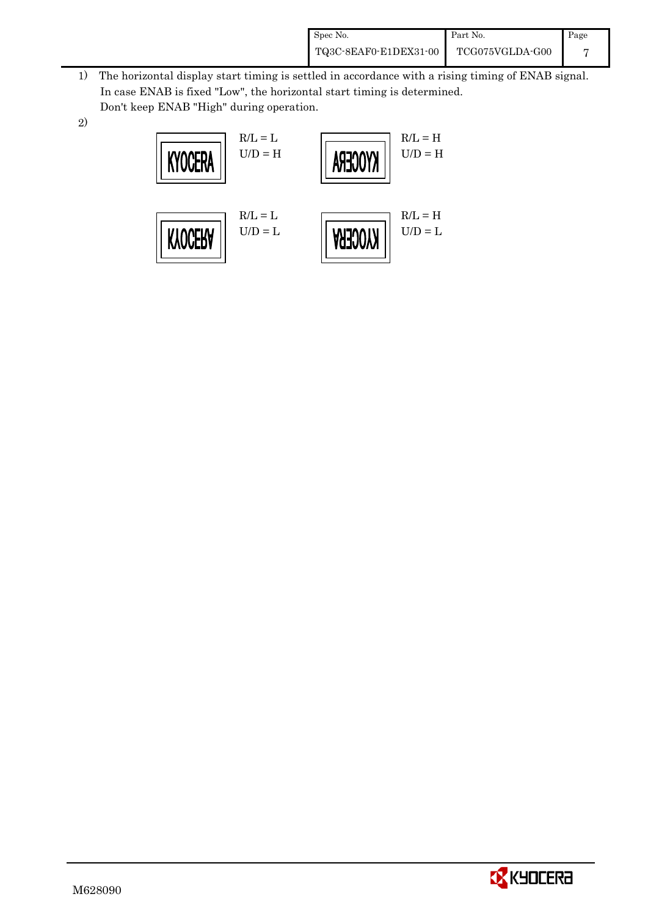| Spec No.              | Part No.        | Page |
|-----------------------|-----------------|------|
| TQ3C-8EAF0-E1DEX31-00 | TCG075VGLDA-G00 |      |

- 1) The horizontal display start timing is settled in accordance with a rising timing of ENAB signal. In case ENAB is fixed "Low", the horizontal start timing is determined. Don't keep ENAB "High" during operation.
- 2)



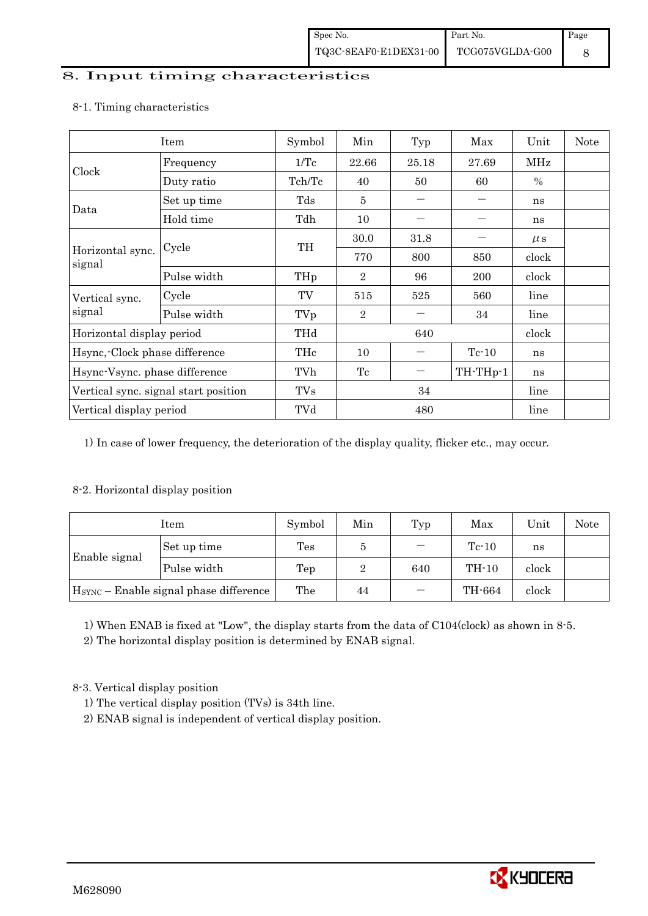#### 8. Input timing characteristics

|                                      | Item        | Symbol     | Min            | Typ   | Max      | Unit    | <b>Note</b> |
|--------------------------------------|-------------|------------|----------------|-------|----------|---------|-------------|
|                                      | Frequency   | 1/Tc       | 22.66          | 25.18 | 27.69    | MHz     |             |
| Clock                                | Duty ratio  | Tch/Tc     | 40             | 50    | 60       | $\%$    |             |
|                                      | Set up time | Tds        | $\overline{5}$ |       |          | ns      |             |
| Data                                 | Hold time   | Tdh        | 10             |       |          | ns      |             |
|                                      |             | TH         | 30.0           | 31.8  |          | $\mu$ s |             |
| Horizontal sync.<br>signal           | Cycle       |            | 770            | 800   | 850      | clock   |             |
|                                      | Pulse width | THp        | $\overline{2}$ | 96    | 200      | clock   |             |
| Vertical sync.                       | Cycle       | TV         | 515            | 525   | 560      | line    |             |
| signal                               | Pulse width | TVp        | $\overline{2}$ |       | 34       | line    |             |
| Horizontal display period            |             | THd        | 640            |       |          | clock   |             |
| Hsync, Clock phase difference        |             | THc        | 10             |       | $Tc-10$  | ns      |             |
| Hsync-Vsync. phase difference        |             | TVh        | Tc             | —     | TH-THp-1 | ns      |             |
| Vertical sync. signal start position |             | <b>TVs</b> | 34             |       |          | line    |             |
| Vertical display period              |             | TVd        | 480            |       |          | line    |             |

#### 8-1. Timing characteristics

1) In case of lower frequency, the deterioration of the display quality, flicker etc., may occur.

#### 8-2. Horizontal display position

| Item                                               |             | Symbol         | Min | Typ                      | Max     | Unit  | <b>Note</b> |
|----------------------------------------------------|-------------|----------------|-----|--------------------------|---------|-------|-------------|
| Enable signal                                      | Set up time | $\mathrm{Tes}$ | 5   | $\overline{\phantom{0}}$ | $Te-10$ | ns    |             |
|                                                    | Pulse width | Tep            | 2   | 640                      | $TH-10$ | clock |             |
| H <sub>SYNC</sub> - Enable signal phase difference |             | The            | 44  |                          | TH-664  | clock |             |

1) When ENAB is fixed at "Low", the display starts from the data of C104(clock) as shown in 8-5.

2) The horizontal display position is determined by ENAB signal.

8-3. Vertical display position

- 1) The vertical display position (TVs) is 34th line.
- 2) ENAB signal is independent of vertical display position.

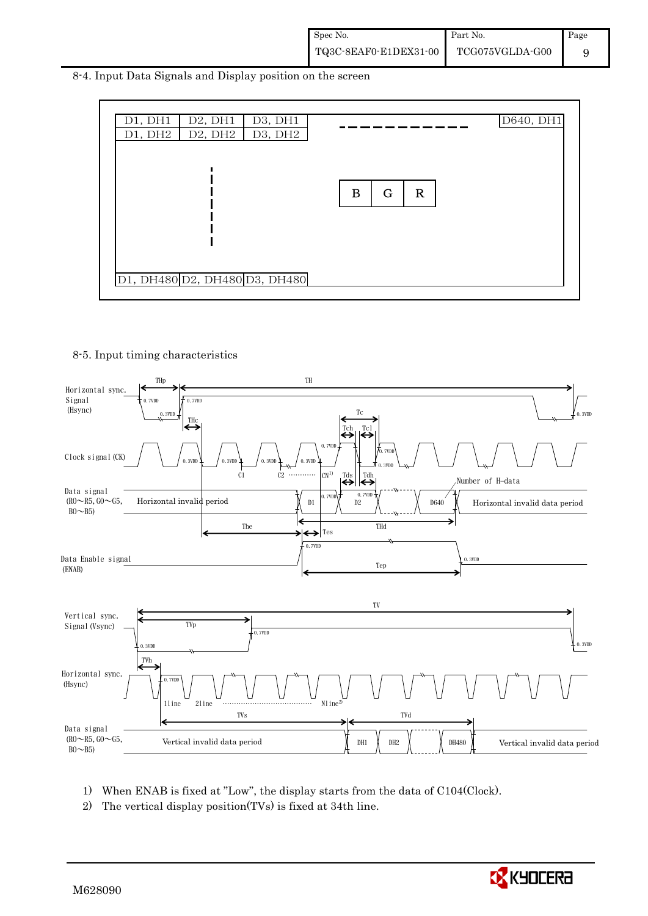8-4. Input Data Signals and Display position on the screen



#### 8-5. Input timing characteristics



- 1) When ENAB is fixed at "Low", the display starts from the data of C104(Clock).
- 2) The vertical display position(TVs) is fixed at 34th line.

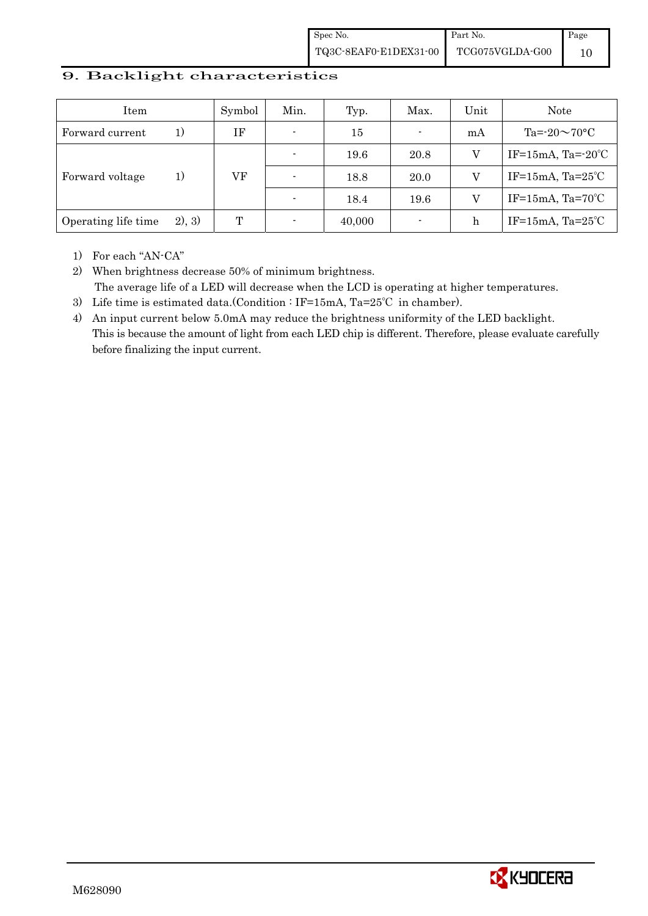#### 9. Backlight characteristics

| Item                |         | Symbol | Min.                     | Typ.   | Max.           | Unit | <b>Note</b>                  |
|---------------------|---------|--------|--------------------------|--------|----------------|------|------------------------------|
| Forward current     | 1)      | IF     | $\blacksquare$           | 15     | $\blacksquare$ | mA   | Ta= $-20\sim70$ °C           |
|                     |         |        |                          | 19.6   | 20.8           | V    | IF=15mA, Ta= $-20^{\circ}$ C |
| Forward voltage     | 1)      | VF     | $\overline{\phantom{0}}$ | 18.8   | 20.0           |      | IF=15mA, $Ta=25^{\circ}C$    |
|                     |         |        |                          | 18.4   | 19.6           |      | IF=15mA, $Ta=70^{\circ}C$    |
| Operating life time | (2), 3) | T      |                          | 40,000 | ٠              | h    | IF=15mA, $Ta=25^{\circ}C$    |

1) For each "AN-CA"

2) When brightness decrease 50% of minimum brightness. The average life of a LED will decrease when the LCD is operating at higher temperatures.

- 3) Life time is estimated data.(Condition : IF=15mA, Ta=25℃ in chamber).
- 4) An input current below 5.0mA may reduce the brightness uniformity of the LED backlight. This is because the amount of light from each LED chip is different. Therefore, please evaluate carefully before finalizing the input current.

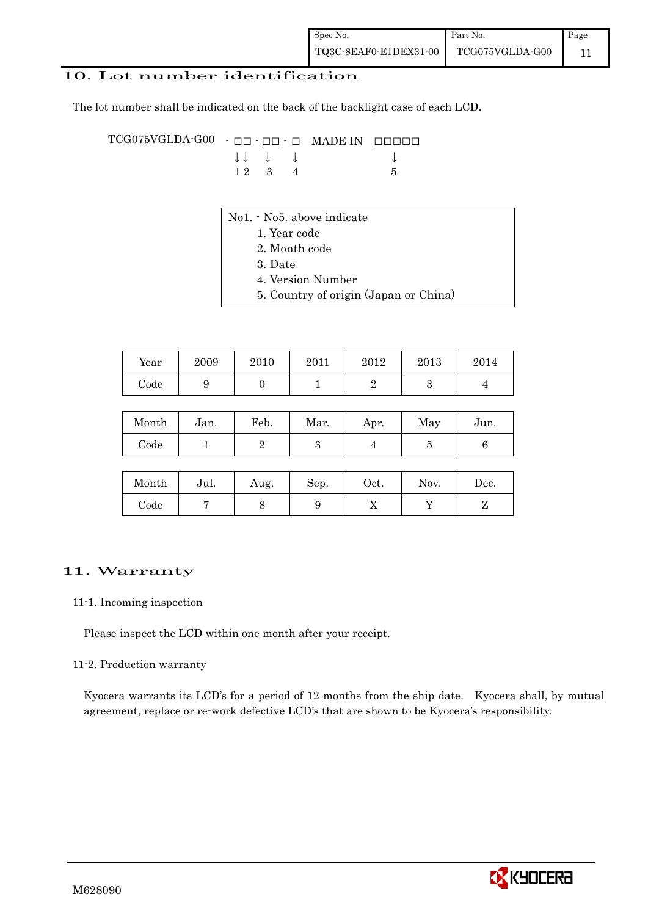| Spec No.              | Part No.        | Page |
|-----------------------|-----------------|------|
| TQ3C-8EAF0-E1DEX31-00 | TCG075VGLDA-G00 |      |

#### 10. Lot number identification

The lot number shall be indicated on the back of the backlight case of each LCD.

 $TCG075VGLDA-G00 - [OD - \[OD -\]\(#\) 0](#)$  MADE IN  $\underline{ODOD}$  $\downarrow \downarrow \quad \downarrow \quad \downarrow \qquad \qquad \downarrow$  $1 \ 2 \ 3 \ 4$  5

- No1. No5. above indicate
	- 1. Year code
		- 2. Month code
		- 3. Date
		- 4. Version Number
	- 5. Country of origin (Japan or China)

| Year | 2009 | 2010 | 2011 | 2012 | 2013 | 2014 |
|------|------|------|------|------|------|------|
| Code |      |      |      |      | ບ    |      |

| Month | Jan. | Feb. | Mar. | Apr. | May | Jun. |
|-------|------|------|------|------|-----|------|
| Code  |      |      |      |      |     |      |

| Month      | Jul. | Aug. | Sep. | Oct. | Nov. | $\operatorname{Dec.}$ |
|------------|------|------|------|------|------|-----------------------|
| $\rm Code$ |      |      |      | ∡⊾   |      |                       |

#### 11. Warranty

#### 11-1. Incoming inspection

Please inspect the LCD within one month after your receipt.

#### 11-2. Production warranty

 Kyocera warrants its LCD's for a period of 12 months from the ship date. Kyocera shall, by mutual agreement, replace or re-work defective LCD's that are shown to be Kyocera's responsibility.

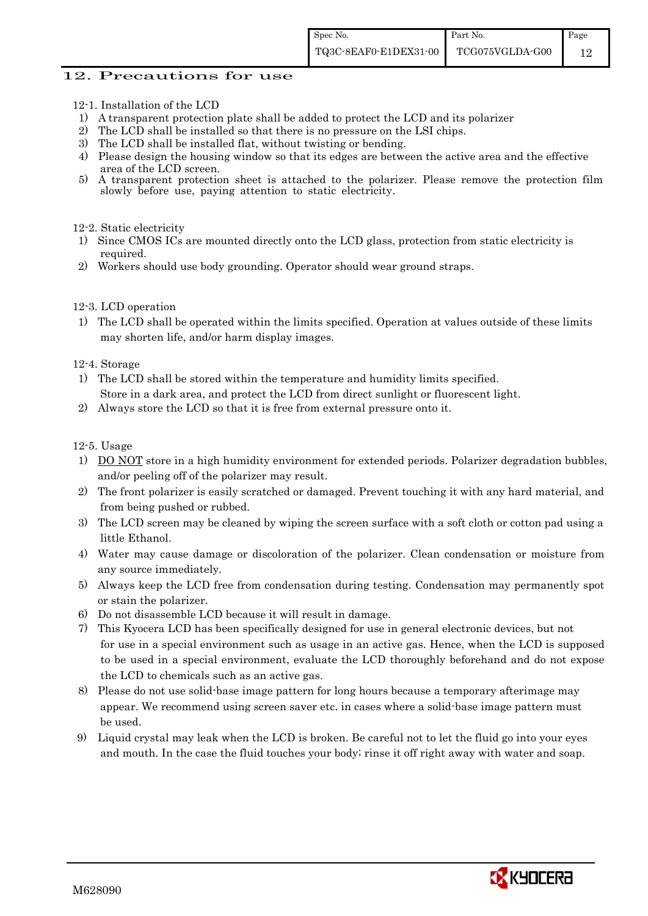#### 12. Precautions for use

- 12-1. Installation of the LCD
- 1) A transparent protection plate shall be added to protect the LCD and its polarizer
- 2) The LCD shall be installed so that there is no pressure on the LSI chips.
- 3) The LCD shall be installed flat, without twisting or bending.
- 4) Please design the housing window so that its edges are between the active area and the effective area of the LCD screen.<br>5) A transparent protection
- 5) A transparent protection sheet is attached to the polarizer. Please remove the protection film slowly before use, paying attention to static electricity.

12-2. Static electricity

- 1) Since CMOS ICs are mounted directly onto the LCD glass, protection from static electricity is required.
- 2) Workers should use body grounding. Operator should wear ground straps.

12-3. LCD operation

1) The LCD shall be operated within the limits specified. Operation at values outside of these limits may shorten life, and/or harm display images.

12-4. Storage

- 1) The LCD shall be stored within the temperature and humidity limits specified. Store in a dark area, and protect the LCD from direct sunlight or fluorescent light.
- 2) Always store the LCD so that it is free from external pressure onto it.

12-5. Usage

- 1) DO NOT store in a high humidity environment for extended periods. Polarizer degradation bubbles, and/or peeling off of the polarizer may result.
- 2) The front polarizer is easily scratched or damaged. Prevent touching it with any hard material, and from being pushed or rubbed.
- 3) The LCD screen may be cleaned by wiping the screen surface with a soft cloth or cotton pad using a little Ethanol.
- 4) Water may cause damage or discoloration of the polarizer. Clean condensation or moisture from any source immediately.
- 5) Always keep the LCD free from condensation during testing. Condensation may permanently spot or stain the polarizer.
- 6) Do not disassemble LCD because it will result in damage.
- 7) This Kyocera LCD has been specifically designed for use in general electronic devices, but not for use in a special environment such as usage in an active gas. Hence, when the LCD is supposed to be used in a special environment, evaluate the LCD thoroughly beforehand and do not expose the LCD to chemicals such as an active gas.
- 8) Please do not use solid-base image pattern for long hours because a temporary afterimage may appear. We recommend using screen saver etc. in cases where a solid-base image pattern must be used.
- 9) Liquid crystal may leak when the LCD is broken. Be careful not to let the fluid go into your eyes and mouth. In the case the fluid touches your body; rinse it off right away with water and soap.

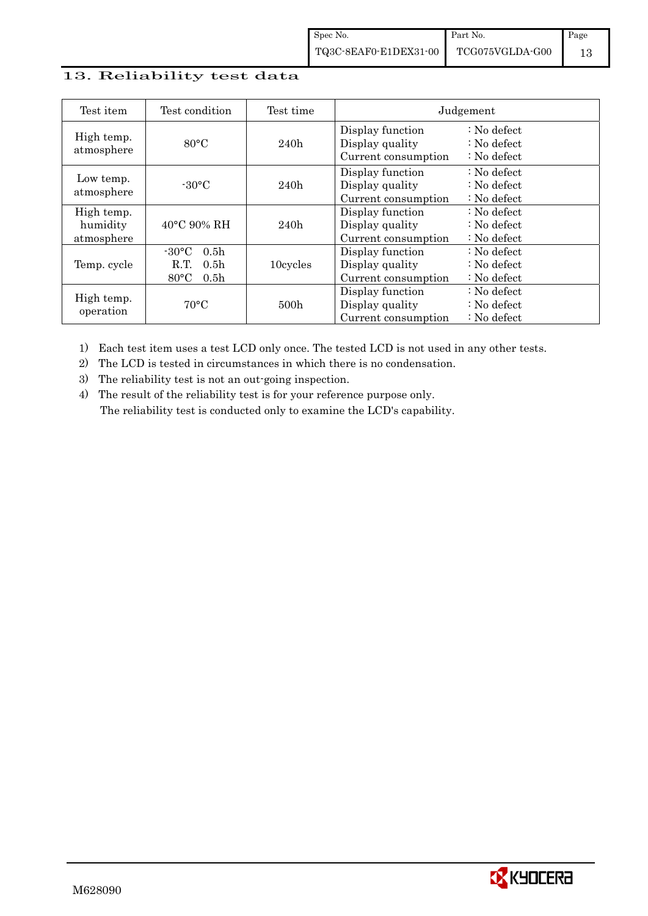#### 13. Reliability test data

| Test item                            | Test condition                                                                                        | Test time        |                                                            | Judgement                                                                  |
|--------------------------------------|-------------------------------------------------------------------------------------------------------|------------------|------------------------------------------------------------|----------------------------------------------------------------------------|
| High temp.<br>atmosphere             | $80^{\circ}$ C                                                                                        | 240h             | Display function<br>Display quality<br>Current consumption | $\therefore$ No defect<br>$\therefore$ No defect<br>$\therefore$ No defect |
| Low temp.<br>atmosphere              | $-30$ °C                                                                                              | 240h             | Display function<br>Display quality<br>Current consumption | $\therefore$ No defect<br>: No defect<br>$\therefore$ No defect            |
| High temp.<br>humidity<br>atmosphere | $40^{\circ}$ C 90% RH                                                                                 | 240h             | Display function<br>Display quality<br>Current consumption | : No defect<br>$\therefore$ No defect<br>$\therefore$ No defect            |
| Temp. cycle                          | $-30^{\circ}$ C<br>0.5 <sub>h</sub><br>0.5 <sub>h</sub><br>R.T.<br>$80^{\circ}$ C<br>0.5 <sub>h</sub> | 10cycles         | Display function<br>Display quality<br>Current consumption | $\therefore$ No defect<br>$\therefore$ No defect<br>$\therefore$ No defect |
| High temp.<br>operation              | $70^{\circ}$ C                                                                                        | 500 <sub>h</sub> | Display function<br>Display quality<br>Current consumption | : No defect<br>$\therefore$ No defect<br>$\therefore$ No defect            |

1) Each test item uses a test LCD only once. The tested LCD is not used in any other tests.

2) The LCD is tested in circumstances in which there is no condensation.

3) The reliability test is not an out-going inspection.

4) The result of the reliability test is for your reference purpose only. The reliability test is conducted only to examine the LCD's capability.

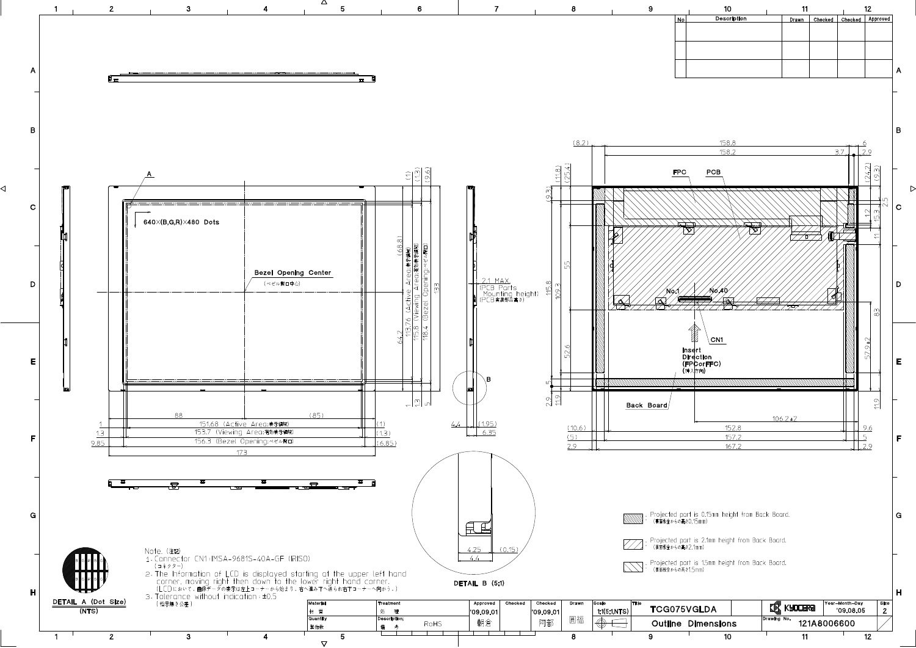

◁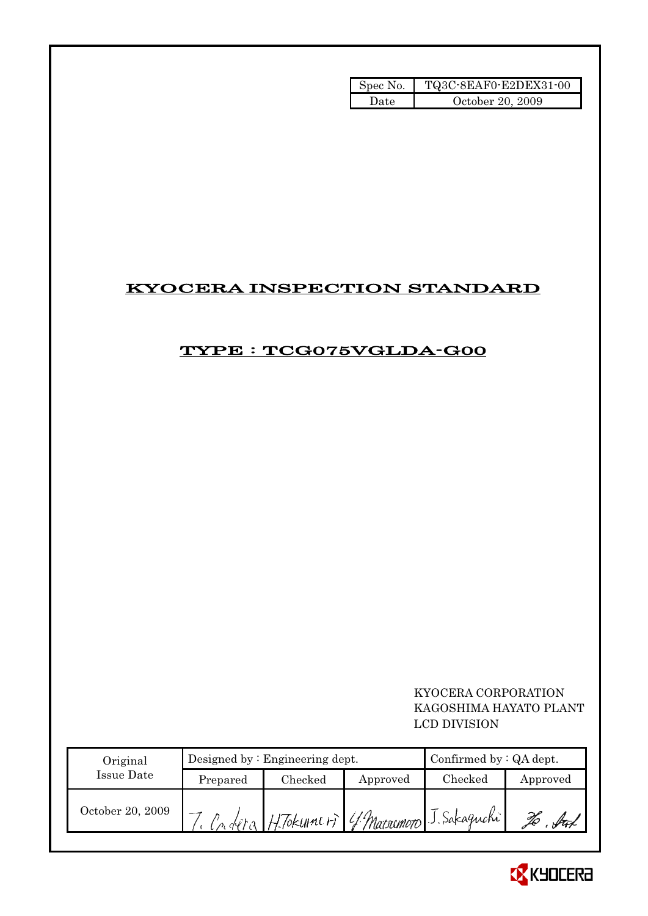| Spec No. | TQ3C-8EAF0-E2DEX31-00 |
|----------|-----------------------|
| Date     | October 20, 2009      |

## KYOCERA INSPECTION STANDARD

## TYPE : TCG075VGLDA-G00

 KYOCERA CORPORATION KAGOSHIMA HAYATO PLANT LCD DIVISION

| Original         |          | Designed by $:$ Engineering dept.            | Confirmed by $:QA$ dept. |         |          |
|------------------|----------|----------------------------------------------|--------------------------|---------|----------|
| Issue Date       | Prepared | Checked                                      | Approved                 | Checked | Approved |
| October 20, 2009 |          | Condera H. Tokumeri 4 Marsomoto J. Sakaguchi |                          |         |          |

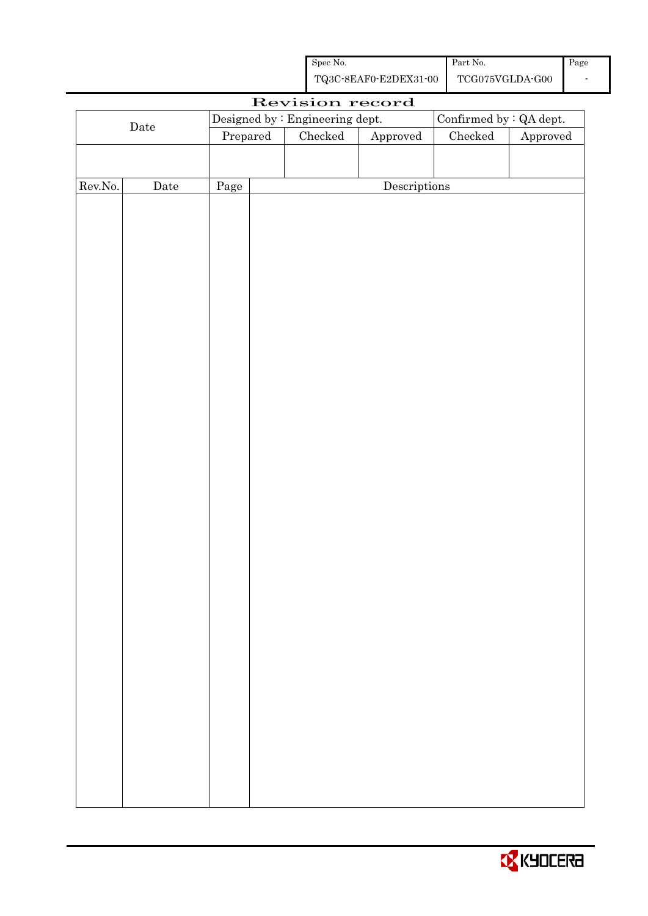| Spec No.              | Part No.        | Page |
|-----------------------|-----------------|------|
| TQ3C-8EAF0-E2DEX31-00 | TCG075VGLDA-G00 |      |

|         |             |                                 | Revision record |                         |               |          |
|---------|-------------|---------------------------------|-----------------|-------------------------|---------------|----------|
|         |             | Designed by : Engineering dept. |                 | Confirmed by : QA dept. |               |          |
|         | $\rm{Date}$ | Prepared                        | Checked         | ${\Large\bf Approved}$  | $\rm Checked$ | Approved |
|         |             |                                 |                 |                         |               |          |
|         |             |                                 |                 |                         |               |          |
| Rev.No. | $\rm{Date}$ | Page                            |                 | Descriptions            |               |          |
|         |             |                                 |                 |                         |               |          |
|         |             |                                 |                 |                         |               |          |
|         |             |                                 |                 |                         |               |          |
|         |             |                                 |                 |                         |               |          |
|         |             |                                 |                 |                         |               |          |
|         |             |                                 |                 |                         |               |          |
|         |             |                                 |                 |                         |               |          |
|         |             |                                 |                 |                         |               |          |
|         |             |                                 |                 |                         |               |          |
|         |             |                                 |                 |                         |               |          |
|         |             |                                 |                 |                         |               |          |
|         |             |                                 |                 |                         |               |          |
|         |             |                                 |                 |                         |               |          |
|         |             |                                 |                 |                         |               |          |
|         |             |                                 |                 |                         |               |          |
|         |             |                                 |                 |                         |               |          |
|         |             |                                 |                 |                         |               |          |
|         |             |                                 |                 |                         |               |          |
|         |             |                                 |                 |                         |               |          |
|         |             |                                 |                 |                         |               |          |
|         |             |                                 |                 |                         |               |          |
|         |             |                                 |                 |                         |               |          |
|         |             |                                 |                 |                         |               |          |
|         |             |                                 |                 |                         |               |          |
|         |             |                                 |                 |                         |               |          |
|         |             |                                 |                 |                         |               |          |
|         |             |                                 |                 |                         |               |          |
|         |             |                                 |                 |                         |               |          |
|         |             |                                 |                 |                         |               |          |
|         |             |                                 |                 |                         |               |          |
|         |             |                                 |                 |                         |               |          |
|         |             |                                 |                 |                         |               |          |
|         |             |                                 |                 |                         |               |          |
|         |             |                                 |                 |                         |               |          |
|         |             |                                 |                 |                         |               |          |

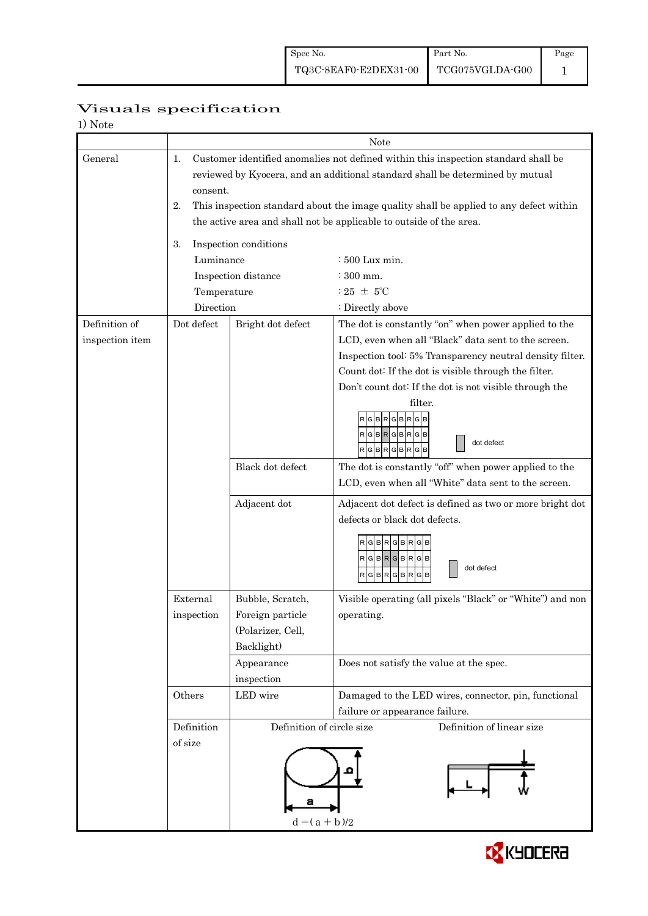|                 | Visuals specification |
|-----------------|-----------------------|
| $1$ $N_{\rm L}$ |                       |

| 1) Note         |                                                                               |                                                                                        |                                                           |  |  |  |
|-----------------|-------------------------------------------------------------------------------|----------------------------------------------------------------------------------------|-----------------------------------------------------------|--|--|--|
|                 |                                                                               | Note                                                                                   |                                                           |  |  |  |
| General         | 1.                                                                            | Customer identified anomalies not defined within this inspection standard shall be     |                                                           |  |  |  |
|                 | reviewed by Kyocera, and an additional standard shall be determined by mutual |                                                                                        |                                                           |  |  |  |
|                 |                                                                               | consent.                                                                               |                                                           |  |  |  |
|                 | 2.                                                                            | This inspection standard about the image quality shall be applied to any defect within |                                                           |  |  |  |
|                 |                                                                               | the active area and shall not be applicable to outside of the area.                    |                                                           |  |  |  |
|                 |                                                                               |                                                                                        |                                                           |  |  |  |
|                 | 3.                                                                            | Inspection conditions                                                                  |                                                           |  |  |  |
|                 | Luminance                                                                     |                                                                                        | $\div 500$ Lux min.                                       |  |  |  |
|                 |                                                                               | Inspection distance                                                                    | $\div$ 300 mm.                                            |  |  |  |
|                 | Temperature                                                                   |                                                                                        | : 25 $\pm$ 5°C                                            |  |  |  |
|                 | Direction                                                                     |                                                                                        | : Directly above                                          |  |  |  |
| Definition of   | Dot defect                                                                    | Bright dot defect                                                                      | The dot is constantly "on" when power applied to the      |  |  |  |
| inspection item |                                                                               |                                                                                        | LCD, even when all "Black" data sent to the screen.       |  |  |  |
|                 |                                                                               |                                                                                        | Inspection tool: 5% Transparency neutral density filter.  |  |  |  |
|                 |                                                                               |                                                                                        | Count dot: If the dot is visible through the filter.      |  |  |  |
|                 |                                                                               |                                                                                        | Don't count dot: If the dot is not visible through the    |  |  |  |
|                 |                                                                               |                                                                                        | filter.                                                   |  |  |  |
|                 |                                                                               |                                                                                        | GBRGBRGB                                                  |  |  |  |
|                 |                                                                               |                                                                                        | $\sf  R $ G $\sf  B $ R $\sf  G $ B $\sf  R$ G $\sf  B$   |  |  |  |
|                 |                                                                               |                                                                                        | dot defect<br>$R$ $G$ $B$ $R$ $G$ $B$ $R$ $G$ $B$         |  |  |  |
|                 |                                                                               | Black dot defect                                                                       | The dot is constantly "off" when power applied to the     |  |  |  |
|                 |                                                                               |                                                                                        | LCD, even when all "White" data sent to the screen.       |  |  |  |
|                 |                                                                               |                                                                                        |                                                           |  |  |  |
|                 |                                                                               | Adjacent dot                                                                           | Adjacent dot defect is defined as two or more bright dot  |  |  |  |
|                 |                                                                               |                                                                                        | defects or black dot defects.                             |  |  |  |
|                 |                                                                               |                                                                                        | RGBRGBRGB                                                 |  |  |  |
|                 |                                                                               |                                                                                        | RGBRGBRGB                                                 |  |  |  |
|                 |                                                                               |                                                                                        | dot defect<br>RGBRGBRGB                                   |  |  |  |
|                 |                                                                               |                                                                                        |                                                           |  |  |  |
|                 | External                                                                      | Bubble, Scratch,                                                                       | Visible operating (all pixels "Black" or "White") and non |  |  |  |
|                 | inspection                                                                    | Foreign particle                                                                       | operating.                                                |  |  |  |
|                 |                                                                               | (Polarizer, Cell,                                                                      |                                                           |  |  |  |
|                 |                                                                               | Backlight)                                                                             |                                                           |  |  |  |
|                 |                                                                               | Appearance                                                                             | Does not satisfy the value at the spec.                   |  |  |  |
|                 |                                                                               | inspection                                                                             |                                                           |  |  |  |
|                 | Others                                                                        | LED wire                                                                               | Damaged to the LED wires, connector, pin, functional      |  |  |  |
|                 |                                                                               |                                                                                        | failure or appearance failure.                            |  |  |  |
|                 | Definition                                                                    | Definition of circle size                                                              | Definition of linear size                                 |  |  |  |
|                 | of size                                                                       |                                                                                        |                                                           |  |  |  |
|                 |                                                                               |                                                                                        |                                                           |  |  |  |
|                 |                                                                               |                                                                                        |                                                           |  |  |  |
|                 |                                                                               |                                                                                        |                                                           |  |  |  |
|                 |                                                                               |                                                                                        |                                                           |  |  |  |
|                 | $d = (a + b)/2$                                                               |                                                                                        |                                                           |  |  |  |
|                 |                                                                               |                                                                                        |                                                           |  |  |  |